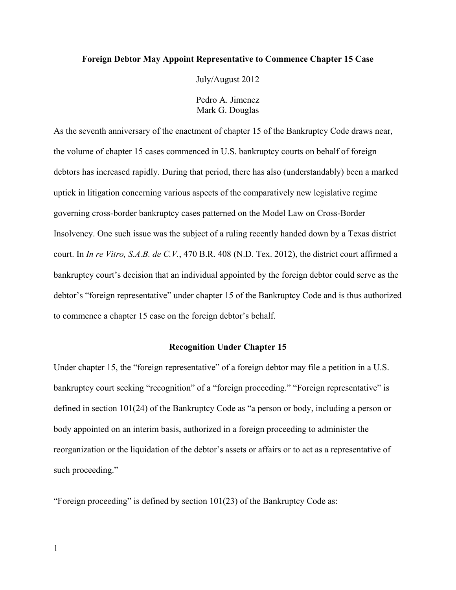# **Foreign Debtor May Appoint Representative to Commence Chapter 15 Case**

July/August 2012

Pedro A. Jimenez Mark G. Douglas

As the seventh anniversary of the enactment of chapter 15 of the Bankruptcy Code draws near, the volume of chapter 15 cases commenced in U.S. bankruptcy courts on behalf of foreign debtors has increased rapidly. During that period, there has also (understandably) been a marked uptick in litigation concerning various aspects of the comparatively new legislative regime governing cross-border bankruptcy cases patterned on the Model Law on Cross-Border Insolvency. One such issue was the subject of a ruling recently handed down by a Texas district court. In *In re Vitro, S.A.B. de C.V.*, 470 B.R. 408 (N.D. Tex. 2012), the district court affirmed a bankruptcy court's decision that an individual appointed by the foreign debtor could serve as the debtor's "foreign representative" under chapter 15 of the Bankruptcy Code and is thus authorized to commence a chapter 15 case on the foreign debtor's behalf.

# **Recognition Under Chapter 15**

Under chapter 15, the "foreign representative" of a foreign debtor may file a petition in a U.S. bankruptcy court seeking "recognition" of a "foreign proceeding." "Foreign representative" is defined in section 101(24) of the Bankruptcy Code as "a person or body, including a person or body appointed on an interim basis, authorized in a foreign proceeding to administer the reorganization or the liquidation of the debtor's assets or affairs or to act as a representative of such proceeding."

"Foreign proceeding" is defined by section 101(23) of the Bankruptcy Code as: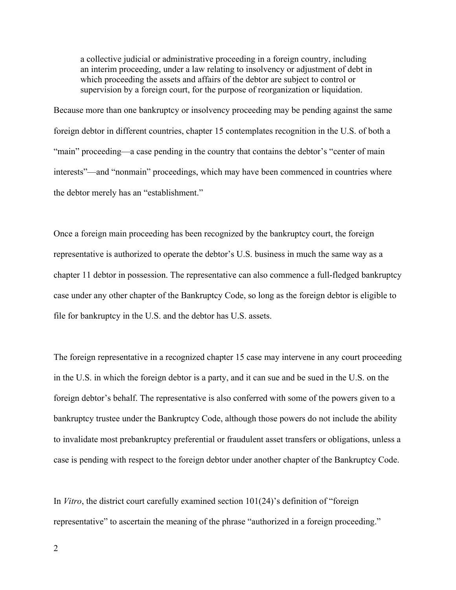a collective judicial or administrative proceeding in a foreign country, including an interim proceeding, under a law relating to insolvency or adjustment of debt in which proceeding the assets and affairs of the debtor are subject to control or supervision by a foreign court, for the purpose of reorganization or liquidation.

Because more than one bankruptcy or insolvency proceeding may be pending against the same foreign debtor in different countries, chapter 15 contemplates recognition in the U.S. of both a "main" proceeding—a case pending in the country that contains the debtor's "center of main interests"—and "nonmain" proceedings, which may have been commenced in countries where the debtor merely has an "establishment."

Once a foreign main proceeding has been recognized by the bankruptcy court, the foreign representative is authorized to operate the debtor's U.S. business in much the same way as a chapter 11 debtor in possession. The representative can also commence a full-fledged bankruptcy case under any other chapter of the Bankruptcy Code, so long as the foreign debtor is eligible to file for bankruptcy in the U.S. and the debtor has U.S. assets.

The foreign representative in a recognized chapter 15 case may intervene in any court proceeding in the U.S. in which the foreign debtor is a party, and it can sue and be sued in the U.S. on the foreign debtor's behalf. The representative is also conferred with some of the powers given to a bankruptcy trustee under the Bankruptcy Code, although those powers do not include the ability to invalidate most prebankruptcy preferential or fraudulent asset transfers or obligations, unless a case is pending with respect to the foreign debtor under another chapter of the Bankruptcy Code.

In *Vitro*, the district court carefully examined section 101(24)'s definition of "foreign representative" to ascertain the meaning of the phrase "authorized in a foreign proceeding."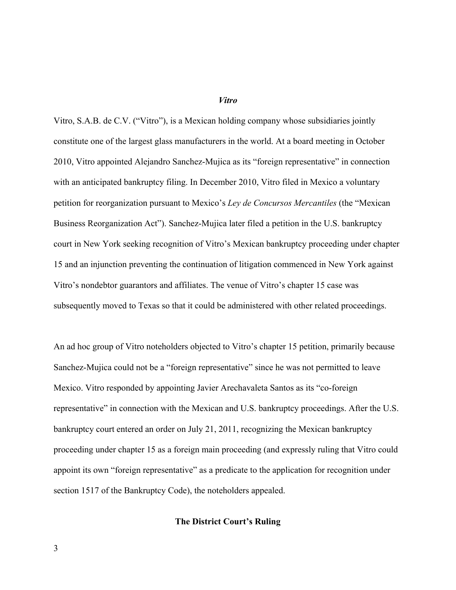### *Vitro*

Vitro, S.A.B. de C.V. ("Vitro"), is a Mexican holding company whose subsidiaries jointly constitute one of the largest glass manufacturers in the world. At a board meeting in October 2010, Vitro appointed Alejandro Sanchez-Mujica as its "foreign representative" in connection with an anticipated bankruptcy filing. In December 2010, Vitro filed in Mexico a voluntary petition for reorganization pursuant to Mexico's *Ley de Concursos Mercantiles* (the "Mexican Business Reorganization Act"). Sanchez-Mujica later filed a petition in the U.S. bankruptcy court in New York seeking recognition of Vitro's Mexican bankruptcy proceeding under chapter 15 and an injunction preventing the continuation of litigation commenced in New York against Vitro's nondebtor guarantors and affiliates. The venue of Vitro's chapter 15 case was subsequently moved to Texas so that it could be administered with other related proceedings.

An ad hoc group of Vitro noteholders objected to Vitro's chapter 15 petition, primarily because Sanchez-Mujica could not be a "foreign representative" since he was not permitted to leave Mexico. Vitro responded by appointing Javier Arechavaleta Santos as its "co-foreign representative" in connection with the Mexican and U.S. bankruptcy proceedings. After the U.S. bankruptcy court entered an order on July 21, 2011, recognizing the Mexican bankruptcy proceeding under chapter 15 as a foreign main proceeding (and expressly ruling that Vitro could appoint its own "foreign representative" as a predicate to the application for recognition under section 1517 of the Bankruptcy Code), the noteholders appealed.

# **The District Court's Ruling**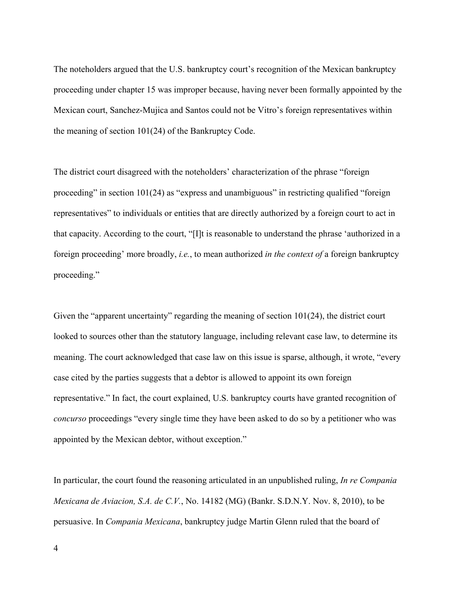The noteholders argued that the U.S. bankruptcy court's recognition of the Mexican bankruptcy proceeding under chapter 15 was improper because, having never been formally appointed by the Mexican court, Sanchez-Mujica and Santos could not be Vitro's foreign representatives within the meaning of section 101(24) of the Bankruptcy Code.

The district court disagreed with the noteholders' characterization of the phrase "foreign proceeding" in section 101(24) as "express and unambiguous" in restricting qualified "foreign representatives" to individuals or entities that are directly authorized by a foreign court to act in that capacity. According to the court, "[I]t is reasonable to understand the phrase 'authorized in a foreign proceeding' more broadly, *i.e.*, to mean authorized *in the context of* a foreign bankruptcy proceeding."

Given the "apparent uncertainty" regarding the meaning of section 101(24), the district court looked to sources other than the statutory language, including relevant case law, to determine its meaning. The court acknowledged that case law on this issue is sparse, although, it wrote, "every case cited by the parties suggests that a debtor is allowed to appoint its own foreign representative." In fact, the court explained, U.S. bankruptcy courts have granted recognition of *concurso* proceedings "every single time they have been asked to do so by a petitioner who was appointed by the Mexican debtor, without exception."

In particular, the court found the reasoning articulated in an unpublished ruling, *In re Compania Mexicana de Aviacion, S.A. de C.V.*, No. 14182 (MG) (Bankr. S.D.N.Y. Nov. 8, 2010), to be persuasive. In *Compania Mexicana*, bankruptcy judge Martin Glenn ruled that the board of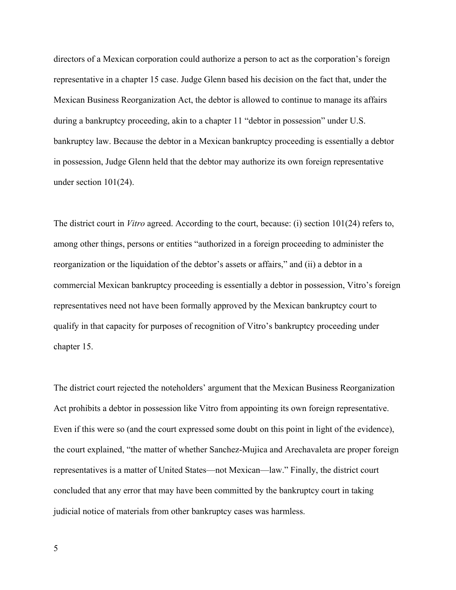directors of a Mexican corporation could authorize a person to act as the corporation's foreign representative in a chapter 15 case. Judge Glenn based his decision on the fact that, under the Mexican Business Reorganization Act, the debtor is allowed to continue to manage its affairs during a bankruptcy proceeding, akin to a chapter 11 "debtor in possession" under U.S. bankruptcy law. Because the debtor in a Mexican bankruptcy proceeding is essentially a debtor in possession, Judge Glenn held that the debtor may authorize its own foreign representative under section 101(24).

The district court in *Vitro* agreed. According to the court, because: (i) section 101(24) refers to, among other things, persons or entities "authorized in a foreign proceeding to administer the reorganization or the liquidation of the debtor's assets or affairs," and (ii) a debtor in a commercial Mexican bankruptcy proceeding is essentially a debtor in possession, Vitro's foreign representatives need not have been formally approved by the Mexican bankruptcy court to qualify in that capacity for purposes of recognition of Vitro's bankruptcy proceeding under chapter 15.

The district court rejected the noteholders' argument that the Mexican Business Reorganization Act prohibits a debtor in possession like Vitro from appointing its own foreign representative. Even if this were so (and the court expressed some doubt on this point in light of the evidence), the court explained, "the matter of whether Sanchez-Mujica and Arechavaleta are proper foreign representatives is a matter of United States—not Mexican—law." Finally, the district court concluded that any error that may have been committed by the bankruptcy court in taking judicial notice of materials from other bankruptcy cases was harmless.

5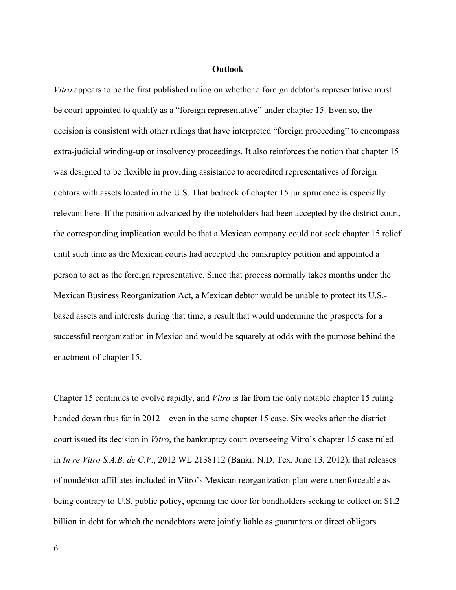### **Outlook**

*Vitro* appears to be the first published ruling on whether a foreign debtor's representative must be court-appointed to qualify as a "foreign representative" under chapter 15. Even so, the decision is consistent with other rulings that have interpreted "foreign proceeding" to encompass extra-judicial winding-up or insolvency proceedings. It also reinforces the notion that chapter 15 was designed to be flexible in providing assistance to accredited representatives of foreign debtors with assets located in the U.S. That bedrock of chapter 15 jurisprudence is especially relevant here. If the position advanced by the noteholders had been accepted by the district court, the corresponding implication would be that a Mexican company could not seek chapter 15 relief until such time as the Mexican courts had accepted the bankruptcy petition and appointed a person to act as the foreign representative. Since that process normally takes months under the Mexican Business Reorganization Act, a Mexican debtor would be unable to protect its U.S. based assets and interests during that time, a result that would undermine the prospects for a successful reorganization in Mexico and would be squarely at odds with the purpose behind the enactment of chapter 15.

Chapter 15 continues to evolve rapidly, and *Vitro* is far from the only notable chapter 15 ruling handed down thus far in 2012—even in the same chapter 15 case. Six weeks after the district court issued its decision in *Vitro*, the bankruptcy court overseeing Vitro's chapter 15 case ruled in *In re Vitro S.A.B. de C.V.*, 2012 WL 2138112 (Bankr. N.D. Tex. June 13, 2012), that releases of nondebtor affiliates included in Vitro's Mexican reorganization plan were unenforceable as being contrary to U.S. public policy, opening the door for bondholders seeking to collect on \$1.2 billion in debt for which the nondebtors were jointly liable as guarantors or direct obligors.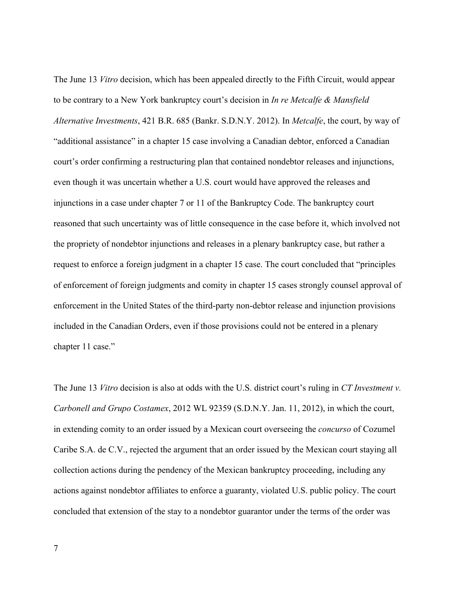The June 13 *Vitro* decision, which has been appealed directly to the Fifth Circuit, would appear to be contrary to a New York bankruptcy court's decision in *In re Metcalfe & Mansfield Alternative Investments*, 421 B.R. 685 (Bankr. S.D.N.Y. 2012). In *Metcalfe*, the court, by way of "additional assistance" in a chapter 15 case involving a Canadian debtor, enforced a Canadian court's order confirming a restructuring plan that contained nondebtor releases and injunctions, even though it was uncertain whether a U.S. court would have approved the releases and injunctions in a case under chapter 7 or 11 of the Bankruptcy Code. The bankruptcy court reasoned that such uncertainty was of little consequence in the case before it, which involved not the propriety of nondebtor injunctions and releases in a plenary bankruptcy case, but rather a request to enforce a foreign judgment in a chapter 15 case. The court concluded that "principles of enforcement of foreign judgments and comity in chapter 15 cases strongly counsel approval of enforcement in the United States of the third-party non-debtor release and injunction provisions included in the Canadian Orders, even if those provisions could not be entered in a plenary chapter 11 case."

The June 13 *Vitro* decision is also at odds with the U.S. district court's ruling in *CT Investment v. Carbonell and Grupo Costamex*, 2012 WL 92359 (S.D.N.Y. Jan. 11, 2012), in which the court, in extending comity to an order issued by a Mexican court overseeing the *concurso* of Cozumel Caribe S.A. de C.V., rejected the argument that an order issued by the Mexican court staying all collection actions during the pendency of the Mexican bankruptcy proceeding, including any actions against nondebtor affiliates to enforce a guaranty, violated U.S. public policy. The court concluded that extension of the stay to a nondebtor guarantor under the terms of the order was